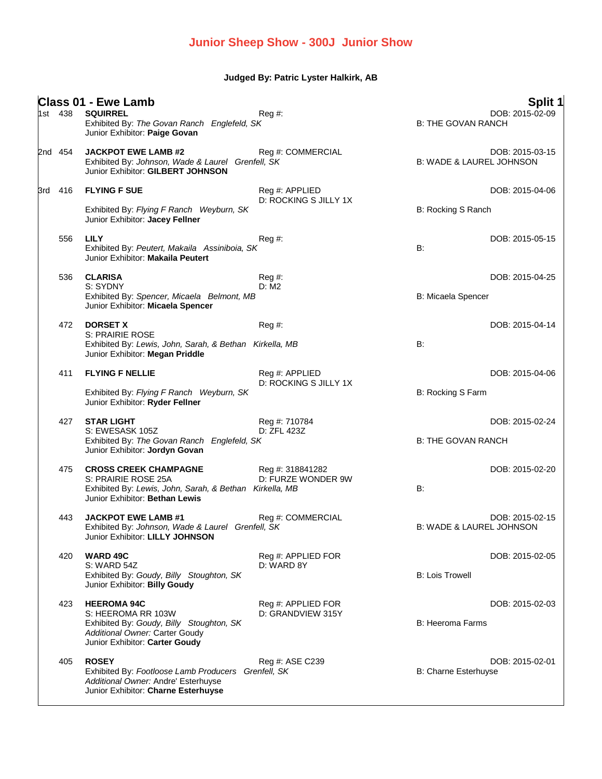## **Junior Sheep Show - 300J Junior Show**

**Judged By: Patric Lyster Halkirk, AB**

|     | 1st 438 | <b>Class 01 - Ewe Lamb</b><br><b>SQUIRREL</b><br>Exhibited By: The Govan Ranch Englefeld, SK<br>Junior Exhibitor: Paige Govan                            | Reg#                                    | <b>B: THE GOVAN RANCH</b>           | Split 1<br>DOB: 2015-02-09 |
|-----|---------|----------------------------------------------------------------------------------------------------------------------------------------------------------|-----------------------------------------|-------------------------------------|----------------------------|
|     | 2nd 454 | <b>JACKPOT EWE LAMB #2</b><br>Exhibited By: Johnson, Wade & Laurel Grenfell, SK<br>Junior Exhibitor: GILBERT JOHNSON                                     | Reg #: COMMERCIAL                       | <b>B: WADE &amp; LAUREL JOHNSON</b> | DOB: 2015-03-15            |
| 3rd | 416     | <b>FLYING F SUE</b><br>Exhibited By: Flying F Ranch Weyburn, SK<br>Junior Exhibitor: Jacey Fellner                                                       | Reg #: APPLIED<br>D: ROCKING S JILLY 1X | B: Rocking S Ranch                  | DOB: 2015-04-06            |
|     | 556     | <b>LILY</b><br>Exhibited By: Peutert, Makaila Assiniboia, SK<br>Junior Exhibitor: Makaila Peutert                                                        | Reg#                                    | B:                                  | DOB: 2015-05-15            |
|     | 536     | <b>CLARISA</b><br>S: SYDNY<br>Exhibited By: Spencer, Micaela Belmont, MB<br>Junior Exhibitor: Micaela Spencer                                            | Reg #:<br>D: M2                         | B: Micaela Spencer                  | DOB: 2015-04-25            |
|     | 472     | <b>DORSET X</b><br>S: PRAIRIE ROSE<br>Exhibited By: Lewis, John, Sarah, & Bethan Kirkella, MB<br>Junior Exhibitor: Megan Priddle                         | $Reg#$ :                                | B:                                  | DOB: 2015-04-14            |
|     | 411     | <b>FLYING F NELLIE</b><br>Exhibited By: Flying F Ranch Weyburn, SK<br>Junior Exhibitor: Ryder Fellner                                                    | Reg #: APPLIED<br>D: ROCKING S JILLY 1X | B: Rocking S Farm                   | DOB: 2015-04-06            |
|     | 427     | <b>STAR LIGHT</b><br>S: EWESASK 105Z<br>Exhibited By: The Govan Ranch Englefeld, SK<br>Junior Exhibitor: Jordyn Govan                                    | Reg #: 710784<br>D: ZFL 423Z            | <b>B: THE GOVAN RANCH</b>           | DOB: 2015-02-24            |
|     | 475     | <b>CROSS CREEK CHAMPAGNE</b><br>S: PRAIRIE ROSE 25A<br>Exhibited By: Lewis, John, Sarah, & Bethan Kirkella, MB<br>Junior Exhibitor: Bethan Lewis         | Reg #: 318841282<br>D: FURZE WONDER 9W  | <b>B:</b>                           | DOB: 2015-02-20            |
|     | 443     | <b>JACKPOT EWE LAMB #1</b><br>Exhibited By: Johnson, Wade & Laurel Grenfell, SK<br>Junior Exhibitor: LILLY JOHNSON                                       | Reg #: COMMERCIAL                       | <b>B: WADE &amp; LAUREL JOHNSON</b> | DOB: 2015-02-15            |
|     | 420     | <b>WARD 49C</b><br>S: WARD 54Z<br>Exhibited By: Goudy, Billy Stoughton, SK<br>Junior Exhibitor: Billy Goudy                                              | Reg #: APPLIED FOR<br>D: WARD 8Y        | <b>B: Lois Trowell</b>              | DOB: 2015-02-05            |
|     | 423     | <b>HEEROMA 94C</b><br>S: HEEROMA RR 103W<br>Exhibited By: Goudy, Billy Stoughton, SK<br>Additional Owner: Carter Goudy<br>Junior Exhibitor: Carter Goudy | Reg #: APPLIED FOR<br>D: GRANDVIEW 315Y | <b>B: Heeroma Farms</b>             | DOB: 2015-02-03            |
|     | 405     | <b>ROSEY</b><br>Exhibited By: Footloose Lamb Producers Grenfell, SK<br>Additional Owner: Andre' Esterhuyse<br>Junior Exhibitor: Charne Esterhuyse        | Reg #: ASE C239                         | B: Charne Esterhuyse                | DOB: 2015-02-01            |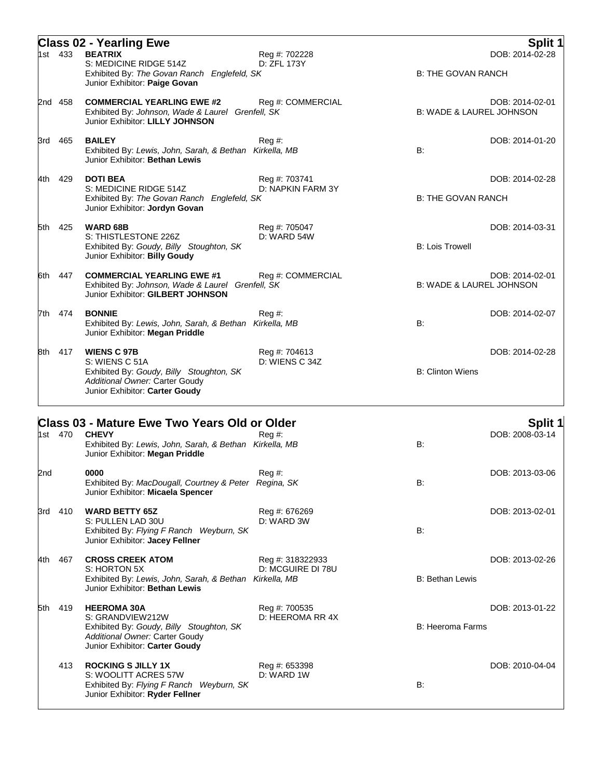|     | 1st 433 | <b>Class 02 - Yearling Ewe</b><br><b>BEATRIX</b><br>S: MEDICINE RIDGE 514Z                                                                                                | Reg #: 702228<br>D: ZFL 173Y          |                                     | <b>Split 1</b><br>DOB: 2014-02-28 |
|-----|---------|---------------------------------------------------------------------------------------------------------------------------------------------------------------------------|---------------------------------------|-------------------------------------|-----------------------------------|
|     |         | Exhibited By: The Govan Ranch Englefeld, SK<br>Junior Exhibitor: Paige Govan                                                                                              |                                       | <b>B: THE GOVAN RANCH</b>           |                                   |
|     | 2nd 458 | <b>COMMERCIAL YEARLING EWE #2</b><br>Exhibited By: Johnson, Wade & Laurel Grenfell, SK<br>Junior Exhibitor: LILLY JOHNSON                                                 | Reg #: COMMERCIAL                     | <b>B: WADE &amp; LAUREL JOHNSON</b> | DOB: 2014-02-01                   |
| 3rd | 465     | <b>BAILEY</b><br>Exhibited By: Lewis, John, Sarah, & Bethan Kirkella, MB<br>Junior Exhibitor: Bethan Lewis                                                                | Reg #:                                | B:                                  | DOB: 2014-01-20                   |
| 4th | 429     | <b>DOTI BEA</b><br>S: MEDICINE RIDGE 514Z<br>Exhibited By: The Govan Ranch Englefeld, SK<br>Junior Exhibitor: Jordyn Govan                                                | Reg #: 703741<br>D: NAPKIN FARM 3Y    | <b>B: THE GOVAN RANCH</b>           | DOB: 2014-02-28                   |
|     | 5th 425 | <b>WARD 68B</b><br>S: THISTLESTONE 226Z<br>Exhibited By: Goudy, Billy Stoughton, SK<br>Junior Exhibitor: Billy Goudy                                                      | Reg #: 705047<br>D: WARD 54W          | <b>B: Lois Trowell</b>              | DOB: 2014-03-31                   |
|     | 6th 447 | <b>COMMERCIAL YEARLING EWE #1</b><br>Exhibited By: Johnson, Wade & Laurel Grenfell, SK<br>Junior Exhibitor: GILBERT JOHNSON                                               | Reg #: COMMERCIAL                     | <b>B: WADE &amp; LAUREL JOHNSON</b> | DOB: 2014-02-01                   |
|     | 7th 474 | <b>BONNIE</b><br>Exhibited By: Lewis, John, Sarah, & Bethan Kirkella, MB<br>Junior Exhibitor: Megan Priddle                                                               | $Reg#$ :                              | B:                                  | DOB: 2014-02-07                   |
|     | 8th 417 | <b>WIENS C 97B</b><br>S: WIENS C 51A<br>Exhibited By: Goudy, Billy Stoughton, SK<br>Additional Owner: Carter Goudy<br>Junior Exhibitor: Carter Goudy                      | Reg #: 704613<br>D: WIENS C 34Z       | <b>B: Clinton Wiens</b>             | DOB: 2014-02-28                   |
|     |         | <b>Class 03 - Mature Ewe Two Years Old or Older</b><br>1st 470 <b>CHEVY</b><br>Exhibited By: Lewis, John, Sarah, & Bethan Kirkella, MB<br>Junior Exhibitor: Megan Priddle | $Reg#$ :                              | B:                                  | <b>Split 1</b><br>DOB: 2008-03-14 |
| 2nd |         | 0000<br>Exhibited By: MacDougall, Courtney & Peter Regina, SK<br>Junior Exhibitor: Micaela Spencer                                                                        | Reg #:                                | B:                                  | DOB: 2013-03-06                   |
| 3rd | 410     | <b>WARD BETTY 65Z</b><br>S: PULLEN LAD 30U<br>Exhibited By: Flying F Ranch Weyburn, SK<br>Junior Exhibitor: Jacey Fellner                                                 | Reg #: 676269<br>D: WARD 3W           | B:                                  | DOB: 2013-02-01                   |
| 4th | 467     | <b>CROSS CREEK ATOM</b><br>S: HORTON 5X<br>Exhibited By: Lewis, John, Sarah, & Bethan Kirkella, MB<br>Junior Exhibitor: Bethan Lewis                                      | Reg #: 318322933<br>D: MCGUIRE DI 78U | <b>B: Bethan Lewis</b>              | DOB: 2013-02-26                   |
| 5th | 419     | <b>HEEROMA 30A</b><br>S: GRANDVIEW212W<br>Exhibited By: Goudy, Billy Stoughton, SK<br>Additional Owner: Carter Goudy<br>Junior Exhibitor: Carter Goudy                    | Reg #: 700535<br>D: HEEROMA RR 4X     | <b>B: Heeroma Farms</b>             | DOB: 2013-01-22                   |
|     | 413     | <b>ROCKING S JILLY 1X</b><br>S: WOOLITT ACRES 57W                                                                                                                         | Reg #: 653398<br>D: WARD 1W           |                                     | DOB: 2010-04-04                   |

Junior Exhibitor: **Ryder Fellner**

Exhibited By: *Flying F Ranch Weyburn, SK* B: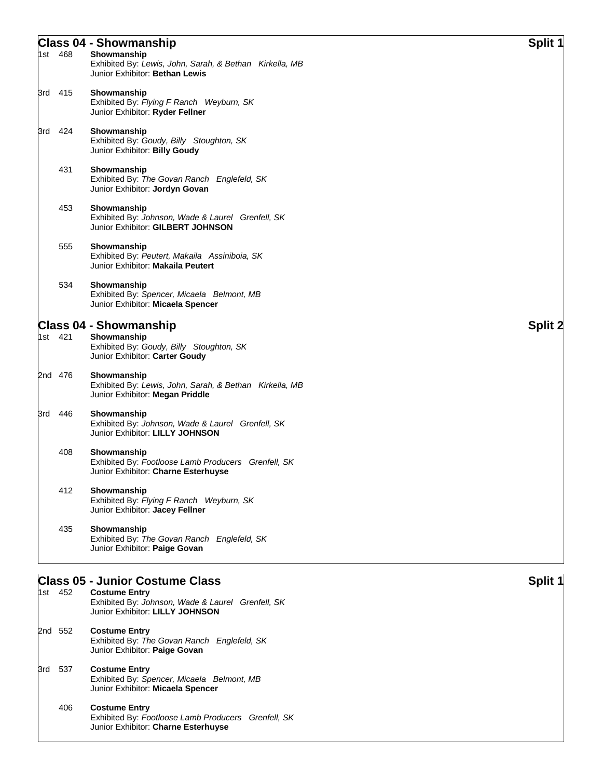## **Class 04 - Showmanship Split 1**

| 1st 468 | Showmanship<br>Exhibited By: Lewis, John, Sarah, & Bethan Kirkella, MB<br>Junior Exhibitor: Bethan Lewis                                               |         |
|---------|--------------------------------------------------------------------------------------------------------------------------------------------------------|---------|
| 3rd 415 | Showmanship<br>Exhibited By: Flying F Ranch Weyburn, SK<br>Junior Exhibitor: Ryder Fellner                                                             |         |
| 3rd 424 | Showmanship<br>Exhibited By: Goudy, Billy Stoughton, SK<br>Junior Exhibitor: Billy Goudy                                                               |         |
| 431     | Showmanship<br>Exhibited By: The Govan Ranch Englefeld, SK<br>Junior Exhibitor: Jordyn Govan                                                           |         |
| 453     | Showmanship<br>Exhibited By: Johnson, Wade & Laurel Grenfell, SK<br>Junior Exhibitor: GILBERT JOHNSON                                                  |         |
| 555     | Showmanship<br>Exhibited By: Peutert, Makaila Assiniboia, SK<br>Junior Exhibitor: Makaila Peutert                                                      |         |
| 534     | Showmanship<br>Exhibited By: Spencer, Micaela Belmont, MB<br>Junior Exhibitor: Micaela Spencer                                                         |         |
|         | <b>Class 04 - Showmanship</b>                                                                                                                          | Split 2 |
| 1st 421 | Showmanship<br>Exhibited By: Goudy, Billy Stoughton, SK<br>Junior Exhibitor: Carter Goudy                                                              |         |
| 2nd 476 | Showmanship<br>Exhibited By: Lewis, John, Sarah, & Bethan Kirkella, MB<br>Junior Exhibitor: Megan Priddle                                              |         |
| 3rd 446 | Showmanship<br>Exhibited By: Johnson, Wade & Laurel Grenfell, SK<br>Junior Exhibitor: LILLY JOHNSON                                                    |         |
| 408     | Showmanship<br>Exhibited By: Footloose Lamb Producers Grenfell, SK<br>Junior Exhibitor: Charne Esterhuyse                                              |         |
| 412     | Showmanship<br>Exhibited By: Flying F Ranch Weyburn, SK<br>Junior Exhibitor: Jacey Fellner                                                             |         |
| 435     | Showmanship<br>Exhibited By: The Govan Ranch Englefeld, SK<br>Junior Exhibitor: Paige Govan                                                            |         |
|         |                                                                                                                                                        |         |
| 1st 452 | <b>Class 05 - Junior Costume Class</b><br><b>Costume Entry</b><br>Exhibited By: Johnson, Wade & Laurel Grenfell, SK<br>Junior Exhibitor: LILLY JOHNSON | Split 1 |
| 2nd 552 | <b>Costume Entry</b><br>Exhibited By: The Govan Ranch Englefeld, SK<br>Junior Exhibitor: Paige Govan                                                   |         |
| 3rd 537 | <b>Costume Entry</b><br>Exhibited By: Spencer, Micaela Belmont, MB                                                                                     |         |

- Junior Exhibitor: **Micaela Spencer**
- 406 **Costume Entry** Exhibited By: *Footloose Lamb Producers Grenfell, SK* Junior Exhibitor: **Charne Esterhuyse**